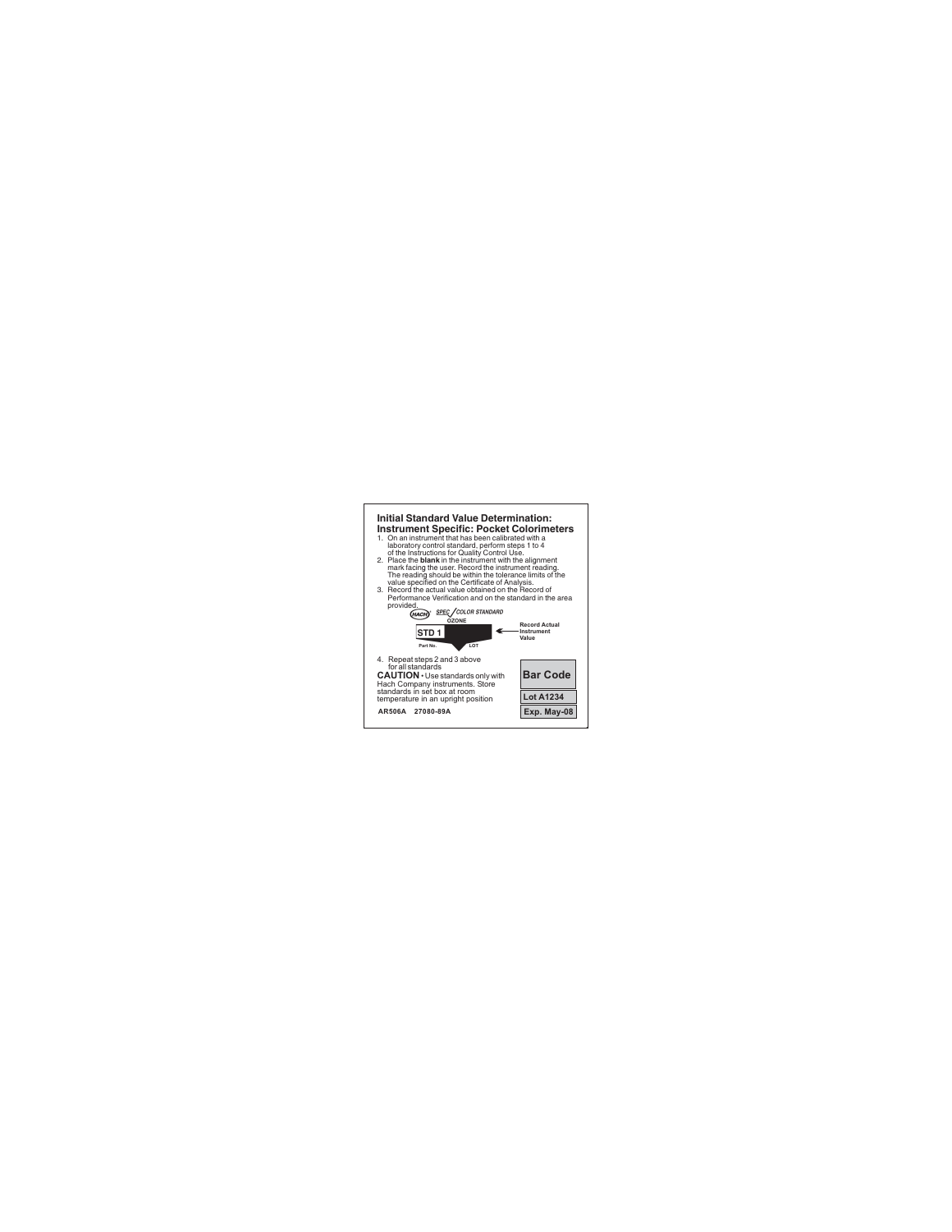## **. . Initial Standard Value Determination: Instrument Specific: Pocket Colorimeters**

- 1. On an instrument that has been calibrated with a laboratory control standard, perform steps 1 to 4 of the Instructions for Quality Control Use.
- 2. Place the **blank** in the instrument with the alignment mark facing the user. Record the instrument reading. The reading should be within the tolerance limits of the value specified on the Certificate of Analysis.
- 3. Record the actual value obtained on the Record of Performance Verification and on the standard in the area provided.



**. .**

**Bar Code Lot A1234** Exp.

**Exp. May-08**

4. Repeat steps 2 and 3 above for all standards

**CAUTION Duse standards only with**<br>
Hach Company instruments. Store<br>
standards in set box at room<br>
temperature is box unright position Hach Company instruments. Store standards in set box at room temperature in an upright position

**AR506A 27080-89A**